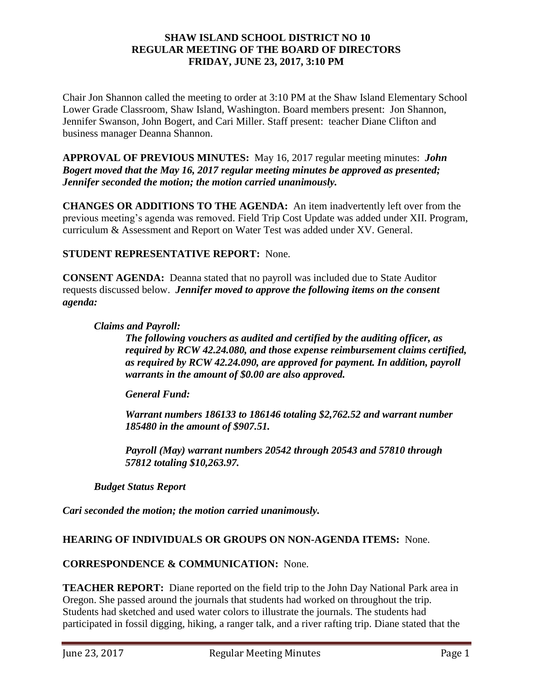#### **SHAW ISLAND SCHOOL DISTRICT NO 10 REGULAR MEETING OF THE BOARD OF DIRECTORS FRIDAY, JUNE 23, 2017, 3:10 PM**

Chair Jon Shannon called the meeting to order at 3:10 PM at the Shaw Island Elementary School Lower Grade Classroom, Shaw Island, Washington. Board members present: Jon Shannon, Jennifer Swanson, John Bogert, and Cari Miller. Staff present: teacher Diane Clifton and business manager Deanna Shannon.

**APPROVAL OF PREVIOUS MINUTES:** May 16, 2017 regular meeting minutes: *John Bogert moved that the May 16, 2017 regular meeting minutes be approved as presented; Jennifer seconded the motion; the motion carried unanimously.* 

**CHANGES OR ADDITIONS TO THE AGENDA:** An item inadvertently left over from the previous meeting's agenda was removed. Field Trip Cost Update was added under XII. Program, curriculum & Assessment and Report on Water Test was added under XV. General.

# **STUDENT REPRESENTATIVE REPORT:** None.

**CONSENT AGENDA:** Deanna stated that no payroll was included due to State Auditor requests discussed below.*Jennifer moved to approve the following items on the consent agenda:*

#### *Claims and Payroll:*

*The following vouchers as audited and certified by the auditing officer, as required by RCW 42.24.080, and those expense reimbursement claims certified, as required by RCW 42.24.090, are approved for payment. In addition, payroll warrants in the amount of \$0.00 are also approved.*

### *General Fund:*

*Warrant numbers 186133 to 186146 totaling \$2,762.52 and warrant number 185480 in the amount of \$907.51.*

*Payroll (May) warrant numbers 20542 through 20543 and 57810 through 57812 totaling \$10,263.97.*

*Budget Status Report*

*Cari seconded the motion; the motion carried unanimously.*

### **HEARING OF INDIVIDUALS OR GROUPS ON NON-AGENDA ITEMS:** None.

### **CORRESPONDENCE & COMMUNICATION:** None.

**TEACHER REPORT:** Diane reported on the field trip to the John Day National Park area in Oregon. She passed around the journals that students had worked on throughout the trip. Students had sketched and used water colors to illustrate the journals. The students had participated in fossil digging, hiking, a ranger talk, and a river rafting trip. Diane stated that the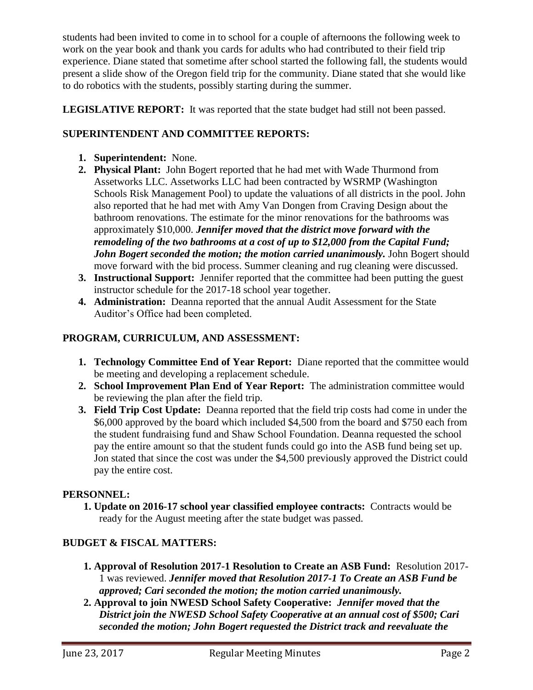students had been invited to come in to school for a couple of afternoons the following week to work on the year book and thank you cards for adults who had contributed to their field trip experience. Diane stated that sometime after school started the following fall, the students would present a slide show of the Oregon field trip for the community. Diane stated that she would like to do robotics with the students, possibly starting during the summer.

**LEGISLATIVE REPORT:** It was reported that the state budget had still not been passed.

# **SUPERINTENDENT AND COMMITTEE REPORTS:**

- **1. Superintendent:** None.
- **2. Physical Plant:** John Bogert reported that he had met with Wade Thurmond from Assetworks LLC. Assetworks LLC had been contracted by WSRMP (Washington Schools Risk Management Pool) to update the valuations of all districts in the pool. John also reported that he had met with Amy Van Dongen from Craving Design about the bathroom renovations. The estimate for the minor renovations for the bathrooms was approximately \$10,000. *Jennifer moved that the district move forward with the remodeling of the two bathrooms at a cost of up to \$12,000 from the Capital Fund;*  John Bogert seconded the motion; the motion carried unanimously. John Bogert should move forward with the bid process. Summer cleaning and rug cleaning were discussed.
- **3. Instructional Support:** Jennifer reported that the committee had been putting the guest instructor schedule for the 2017-18 school year together.
- **4. Administration:** Deanna reported that the annual Audit Assessment for the State Auditor's Office had been completed.

# **PROGRAM, CURRICULUM, AND ASSESSMENT:**

- **1. Technology Committee End of Year Report:** Diane reported that the committee would be meeting and developing a replacement schedule.
- **2. School Improvement Plan End of Year Report:** The administration committee would be reviewing the plan after the field trip.
- **3. Field Trip Cost Update:** Deanna reported that the field trip costs had come in under the \$6,000 approved by the board which included \$4,500 from the board and \$750 each from the student fundraising fund and Shaw School Foundation. Deanna requested the school pay the entire amount so that the student funds could go into the ASB fund being set up. Jon stated that since the cost was under the \$4,500 previously approved the District could pay the entire cost.

### **PERSONNEL:**

**1. Update on 2016-17 school year classified employee contracts:** Contracts would be ready for the August meeting after the state budget was passed.

# **BUDGET & FISCAL MATTERS:**

- **1. Approval of Resolution 2017-1 Resolution to Create an ASB Fund:** Resolution 2017- 1 was reviewed. *Jennifer moved that Resolution 2017-1 To Create an ASB Fund be approved; Cari seconded the motion; the motion carried unanimously.*
- **2. Approval to join NWESD School Safety Cooperative:** *Jennifer moved that the District join the NWESD School Safety Cooperative at an annual cost of \$500; Cari seconded the motion; John Bogert requested the District track and reevaluate the*